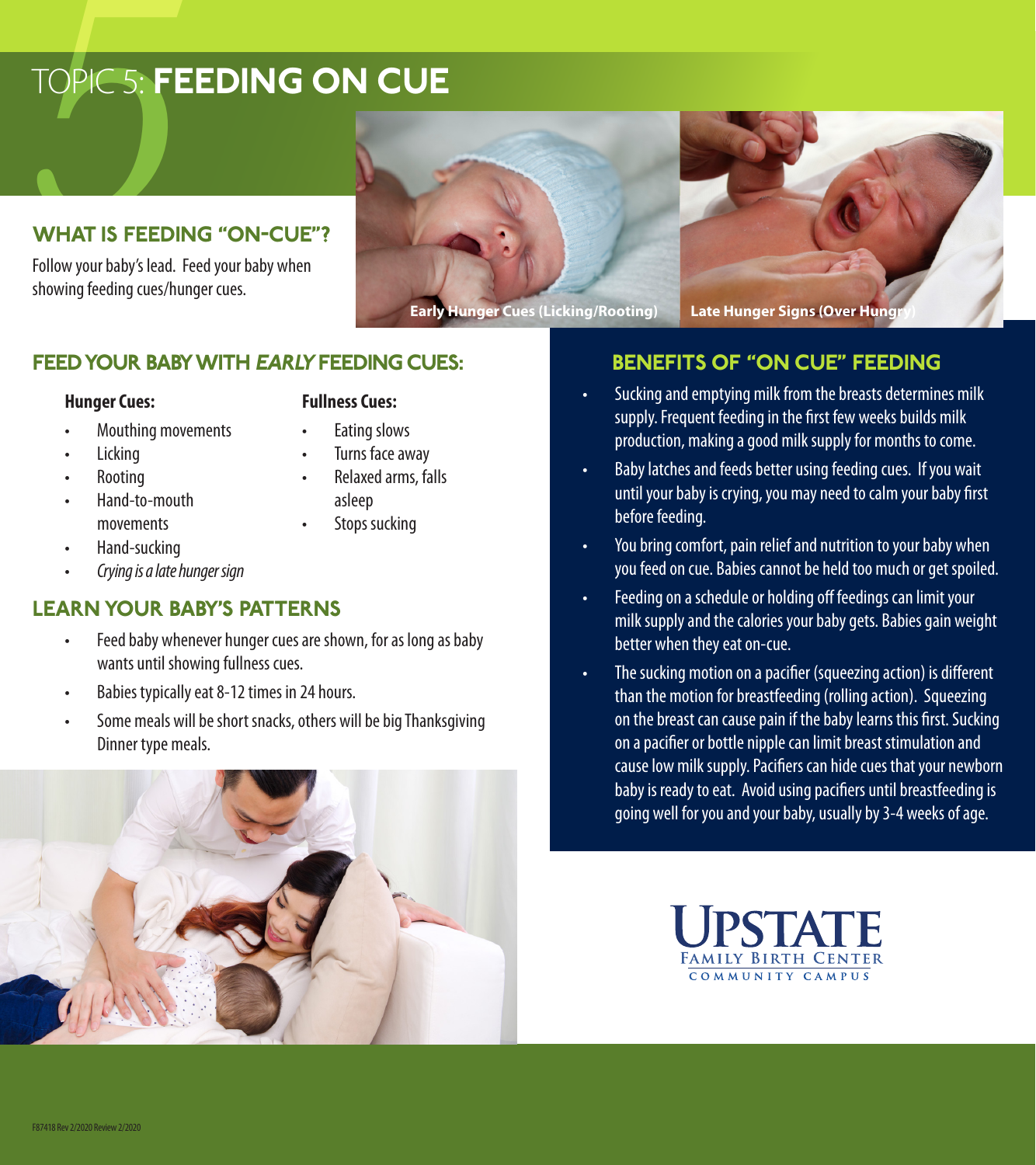# **TOPIC 5: FE** TOPIC 5: FEEDING ON CUE

## WHAT IS FEEDING "ON-CUE"?

Follow your baby's lead. Feed your baby when showing feeding cues/hunger cues.





## FEED YOUR BABY WITH EARLY FEEDING CUES:

## **Hunger Cues:**

- Mouthing movements
- Eating slows

**Licking** 

Turns face away

**Fullness Cues:**

- Relaxed arms, falls
- asleep
- Stops sucking

movements • Hand-sucking

• Rooting • Hand-to-mouth

• *Crying is a late hunger sign*

## LEARN YOUR BABY'S PATTERNS

- Feed baby whenever hunger cues are shown, for as long as baby wants until showing fullness cues.
- Babies typically eat 8-12 times in 24 hours.
- Some meals will be short snacks, others will be big Thanksgiving Dinner type meals.

## BENEFITS OF "ON CUE" FEEDING

- Sucking and emptying milk from the breasts determines milk supply. Frequent feeding in the first few weeks builds milk production, making a good milk supply for months to come.
- Baby latches and feeds better using feeding cues. If you wait until your baby is crying, you may need to calm your baby first before feeding.
- You bring comfort, pain relief and nutrition to your baby when you feed on cue. Babies cannot be held too much or get spoiled.
- Feeding on a schedule or holding off feedings can limit your milk supply and the calories your baby gets. Babies gain weight better when they eat on-cue.
- The sucking motion on a pacifier (squeezing action) is different than the motion for breastfeeding (rolling action). Squeezing on the breast can cause pain if the baby learns this first. Sucking on a pacifier or bottle nipple can limit breast stimulation and cause low milk supply. Pacifiers can hide cues that your newborn baby is ready to eat. Avoid using pacifiers until breastfeeding is going well for you and your baby, usually by 3-4 weeks of age.